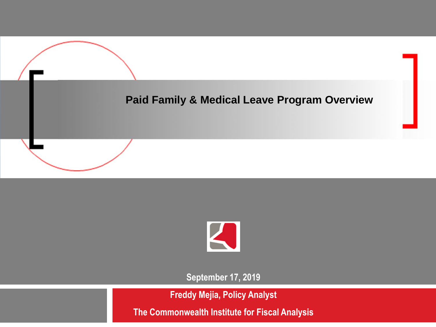



**September 17, 2019**

**Freddy Mejia, Policy Analyst**

**The Commonwealth Institute for Fiscal Analysis**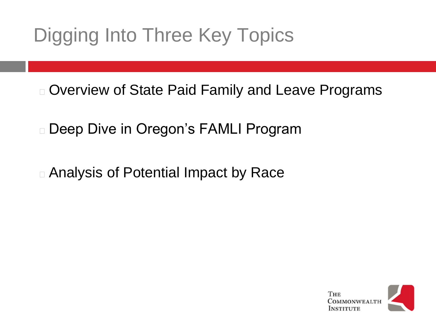# Digging Into Three Key Topics

<sup>◻</sup> Overview of State Paid Family and Leave Programs

<sup>◻</sup> Deep Dive in Oregon's FAMLI Program

<sup>◻</sup> Analysis of Potential Impact by Race

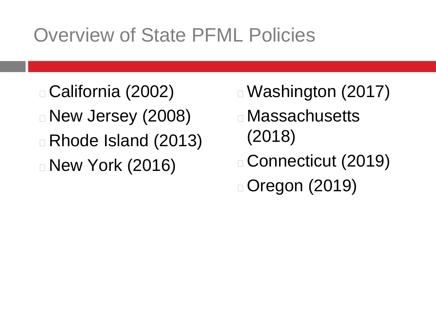## Overview of State PFML Policies

<sup>◻</sup> California (2002) <sup>◻</sup> New Jersey (2008) <sup>◻</sup> Rhode Island (2013) □ New York (2016)

- <sup>◻</sup>Washington (2017)
- <sup>◻</sup> Massachusetts (2018)
- <sup>◻</sup> Connecticut (2019) ◻Oregon (2019)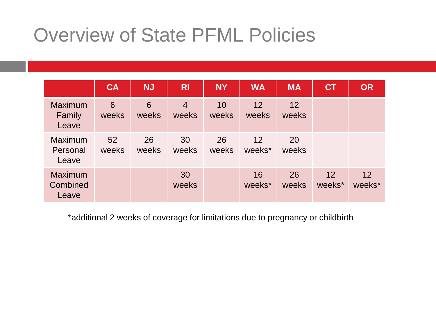### Overview of State PFML Policies

|                                     | <b>CA</b>   | <b>NJ</b>   | <b>RI</b>               | <b>NY</b>   | <b>WA</b>    | <b>MA</b>   | CT           | <b>OR</b>    |
|-------------------------------------|-------------|-------------|-------------------------|-------------|--------------|-------------|--------------|--------------|
| <b>Maximum</b><br>Family<br>Leave   | 6<br>weeks  | 6<br>weeks  | $\overline{4}$<br>weeks | 10<br>weeks | 12<br>weeks  | 12<br>weeks |              |              |
| Maximum<br>Personal<br>Leave        | 52<br>weeks | 26<br>weeks | 30<br>weeks             | 26<br>weeks | 12<br>weeks* | 20<br>weeks |              |              |
| <b>Maximum</b><br>Combined<br>Leave |             |             | 30<br>weeks             |             | 16<br>weeks* | 26<br>weeks | 12<br>weeks* | 12<br>weeks* |

\*additional 2 weeks of coverage for limitations due to pregnancy or childbirth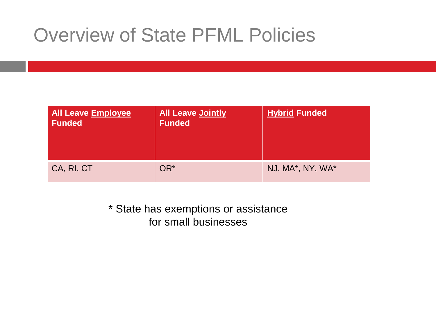### Overview of State PFML Policies

| All Leave Employee<br>Funded | <b>All Leave Jointly</b><br><b>Funded</b> | <b>Hybrid Funded</b> |
|------------------------------|-------------------------------------------|----------------------|
| CA, RI, CT                   | OR*                                       | NJ, MA*, NY, WA*     |

\* State has exemptions or assistance for small businesses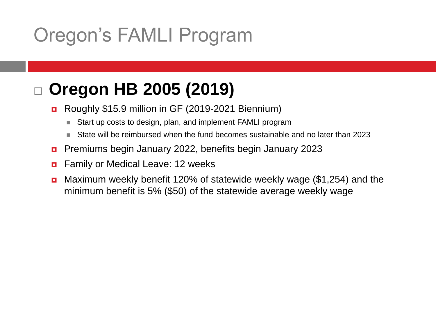# Oregon's FAMLI Program

### **Oregon HB 2005 (2019)**

- Roughly \$15.9 million in GF (2019-2021 Biennium)
	- Start up costs to design, plan, and implement FAMLI program
	- State will be reimbursed when the fund becomes sustainable and no later than 2023
- Premiums begin January 2022, benefits begin January 2023
- **n** Family or Medical Leave: 12 weeks
- **n** Maximum weekly benefit 120% of statewide weekly wage (\$1,254) and the minimum benefit is 5% (\$50) of the statewide average weekly wage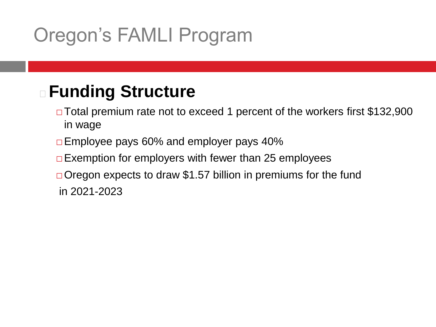# Oregon's FAMLI Program

### <sup>◻</sup> **Funding Structure**

- ⬜ Total premium rate not to exceed 1 percent of the workers first \$132,900 in wage
- ⬜ Employee pays 60% and employer pays 40%
- $\Box$  Exemption for employers with fewer than 25 employees
- $\Box$  Oregon expects to draw \$1.57 billion in premiums for the fund in 2021-2023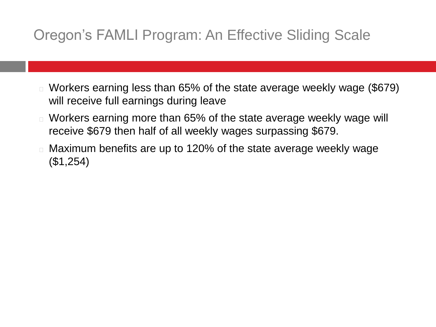#### Oregon's FAMLI Program: An Effective Sliding Scale

- <sup>◻</sup> Workers earning less than 65% of the state average weekly wage (\$679) will receive full earnings during leave
- <sup>◻</sup> Workers earning more than 65% of the state average weekly wage will receive \$679 then half of all weekly wages surpassing \$679.
- <sup>◻</sup> Maximum benefits are up to 120% of the state average weekly wage (\$1,254)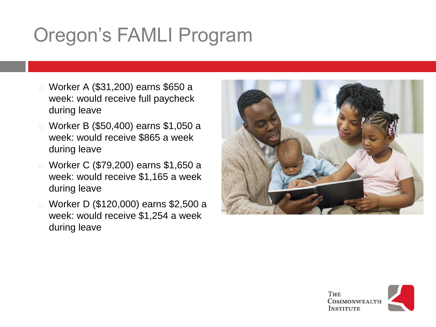# Oregon's FAMLI Program

- <sup>◻</sup> Worker A (\$31,200) earns \$650 a week: would receive full paycheck during leave
- <sup>◻</sup> Worker B (\$50,400) earns \$1,050 a week: would receive \$865 a week during leave
- <sup>◻</sup> Worker C (\$79,200) earns \$1,650 a week: would receive \$1,165 a week during leave
- <sup>◻</sup> Worker D (\$120,000) earns \$2,500 a week: would receive \$1,254 a week during leave



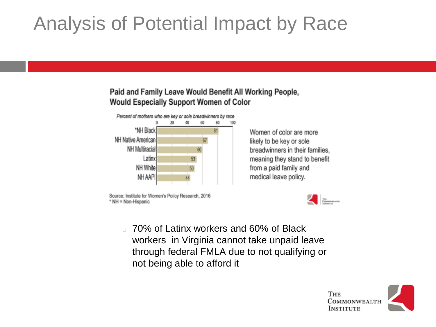# Analysis of Potential Impact by Race

#### Paid and Family Leave Would Benefit All Working People, **Would Especially Support Women of Color**



Source: Institute for Women's Policy Research, 2016 \* NH = Non-Hispanic

Women of color are more likely to be key or sole breadwinners in their families, meaning they stand to benefit from a paid family and medical leave policy.



<sup>◻</sup> 70% of Latinx workers and 60% of Black workers in Virginia cannot take unpaid leave through federal FMLA due to not qualifying or not being able to afford it